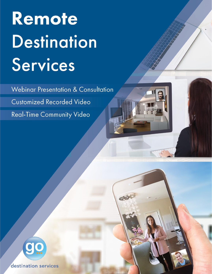# Remote **Destination** Services

Webinar Presentation & Consultation **Customized Recorded Video** Real-Time Community Video



destination services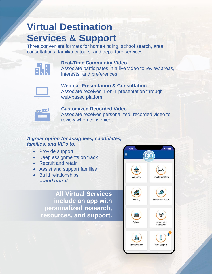# **Virtual Destination Services & Support**

Three convenient formats for home-finding, school search, area consultations, familiarity tours, and departure services.



**Real-Time Community Video** Associate participates in a live video to review areas, interests, and preferences



**Webinar Presentation & Consultation** Associate receives 1-on-1 presentation through web-based platform



**Customized Recorded Video** Associate receives personalized, recorded video to review when convenient

# *A great option for assignees, candidates, families, and VIPs to:*

- Provide support
- Keep assignments on track
- Recruit and retain
- Assist and support families
- Build relationships *…and more!*

**All Virtual Services include an app with personalized research, resources, and support.**

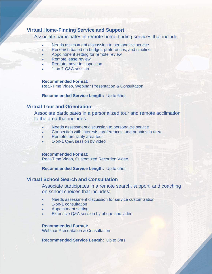### **Virtual Home-Finding Service and Support**

Associate participates in remote home-finding services that include:

- Needs assessment discussion to personalize service
- Research based on budget, preferences, and timeline
- Appointment setting for remote review
- Remote lease review
- Remote move-in inspection
- 1-on-1 Q&A session

**Recommended Format:** 

Real-Time Video, Webinar Presentation & Consultation

**Recommended Service Length:** Up to 6hrs

#### **Virtual Tour and Orientation**

Associate participates in a personalized tour and remote acclimation to the area that includes:

- Needs assessment discussion to personalize service
- Connection with interests, preferences, and hobbies in area
- Remote familiarity area tour
- 1-on-1 Q&A session by video

#### **Recommended Format:**

Real-Time Video, Customized Recorded Video

**Recommended Service Length:** Up to 6hrs

### **Virtual School Search and Consultation**

Associate participates in a remote search, support, and coaching on school choices that includes:

- Needs assessment discussion for service customization
- 1-on-1 consultation
- Appointment setting
- Extensive Q&A session by phone and video

#### **Recommended Format:**

Webinar Presentation & Consultation

**Recommended Service Length:** Up to 6hrs